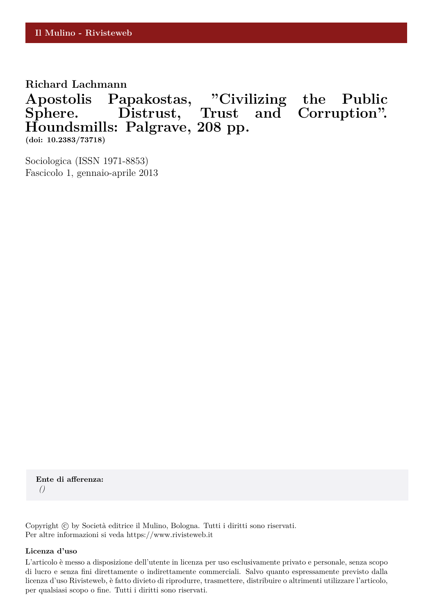**Richard Lachmann**

**Apostolis Papakostas, "Civilizing the Public Sphere. Distrust, Trust and Corruption". Houndsmills: Palgrave, 208 pp.**

**(doi: 10.2383/73718)**

Sociologica (ISSN 1971-8853) Fascicolo 1, gennaio-aprile 2013

**Ente di afferenza:** *()*

Copyright © by Società editrice il Mulino, Bologna. Tutti i diritti sono riservati. Per altre informazioni si veda https://www.rivisteweb.it

## **Licenza d'uso**

L'articolo è messo a disposizione dell'utente in licenza per uso esclusivamente privato e personale, senza scopo di lucro e senza fini direttamente o indirettamente commerciali. Salvo quanto espressamente previsto dalla licenza d'uso Rivisteweb, è fatto divieto di riprodurre, trasmettere, distribuire o altrimenti utilizzare l'articolo, per qualsiasi scopo o fine. Tutti i diritti sono riservati.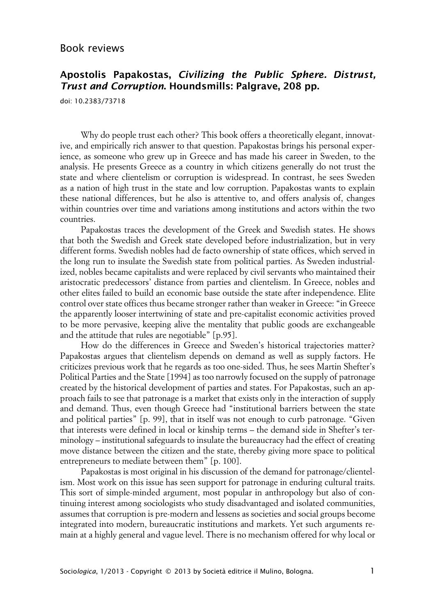## **Apostolis Papakostas, Civilizing the Public Sphere. Distrust, Trust and Corruption. Houndsmills: Palgrave, 208 pp.**

doi: 10.2383/73718

Why do people trust each other? This book offers a theoretically elegant, innovative, and empirically rich answer to that question. Papakostas brings his personal experience, as someone who grew up in Greece and has made his career in Sweden, to the analysis. He presents Greece as a country in which citizens generally do not trust the state and where clientelism or corruption is widespread. In contrast, he sees Sweden as a nation of high trust in the state and low corruption. Papakostas wants to explain these national differences, but he also is attentive to, and offers analysis of, changes within countries over time and variations among institutions and actors within the two countries.

Papakostas traces the development of the Greek and Swedish states. He shows that both the Swedish and Greek state developed before industrialization, but in very different forms. Swedish nobles had de facto ownership of state offices, which served in the long run to insulate the Swedish state from political parties. As Sweden industrialized, nobles became capitalists and were replaced by civil servants who maintained their aristocratic predecessors' distance from parties and clientelism. In Greece, nobles and other elites failed to build an economic base outside the state after independence. Elite control over state offices thus became stronger rather than weaker in Greece: "in Greece the apparently looser intertwining of state and pre-capitalist economic activities proved to be more pervasive, keeping alive the mentality that public goods are exchangeable and the attitude that rules are negotiable" [p.95].

How do the differences in Greece and Sweden's historical trajectories matter? Papakostas argues that clientelism depends on demand as well as supply factors. He criticizes previous work that he regards as too one-sided. Thus, he sees Martin Shefter's Political Parties and the State [1994] as too narrowly focused on the supply of patronage created by the historical development of parties and states. For Papakostas, such an approach fails to see that patronage is a market that exists only in the interaction of supply and demand. Thus, even though Greece had "institutional barriers between the state and political parties" [p. 99], that in itself was not enough to curb patronage. "Given that interests were defined in local or kinship terms – the demand side in Shefter's terminology – institutional safeguards to insulate the bureaucracy had the effect of creating move distance between the citizen and the state, thereby giving more space to political entrepreneurs to mediate between them" [p. 100].

Papakostas is most original in his discussion of the demand for patronage/clientelism. Most work on this issue has seen support for patronage in enduring cultural traits. This sort of simple-minded argument, most popular in anthropology but also of continuing interest among sociologists who study disadvantaged and isolated communities, assumes that corruption is pre-modern and lessens as societies and social groups become integrated into modern, bureaucratic institutions and markets. Yet such arguments remain at a highly general and vague level. There is no mechanism offered for why local or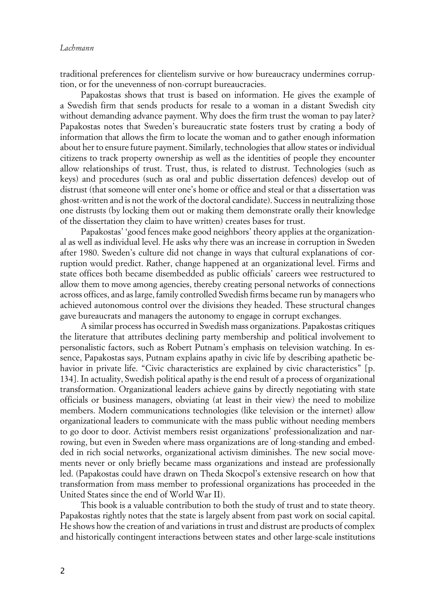traditional preferences for clientelism survive or how bureaucracy undermines corruption, or for the unevenness of non-corrupt bureaucracies.

Papakostas shows that trust is based on information. He gives the example of a Swedish firm that sends products for resale to a woman in a distant Swedish city without demanding advance payment. Why does the firm trust the woman to pay later? Papakostas notes that Sweden's bureaucratic state fosters trust by crating a body of information that allows the firm to locate the woman and to gather enough information about her to ensure future payment. Similarly, technologies that allow states or individual citizens to track property ownership as well as the identities of people they encounter allow relationships of trust. Trust, thus, is related to distrust. Technologies (such as keys) and procedures (such as oral and public dissertation defences) develop out of distrust (that someone will enter one's home or office and steal or that a dissertation was ghost-written and is not the work of the doctoral candidate). Success in neutralizing those one distrusts (by locking them out or making them demonstrate orally their knowledge of the dissertation they claim to have written) creates bases for trust.

Papakostas' 'good fences make good neighbors' theory applies at the organizational as well as individual level. He asks why there was an increase in corruption in Sweden after 1980. Sweden's culture did not change in ways that cultural explanations of corruption would predict. Rather, change happened at an organizational level. Firms and state offices both became disembedded as public officials' careers wee restructured to allow them to move among agencies, thereby creating personal networks of connections across offices, and as large, family controlled Swedish firms became run by managers who achieved autonomous control over the divisions they headed. These structural changes gave bureaucrats and managers the autonomy to engage in corrupt exchanges.

A similar process has occurred in Swedish mass organizations. Papakostas critiques the literature that attributes declining party membership and political involvement to personalistic factors, such as Robert Putnam's emphasis on television watching. In essence, Papakostas says, Putnam explains apathy in civic life by describing apathetic behavior in private life. "Civic characteristics are explained by civic characteristics" [p. 134]. In actuality, Swedish political apathy is the end result of a process of organizational transformation. Organizational leaders achieve gains by directly negotiating with state officials or business managers, obviating (at least in their view) the need to mobilize members. Modern communications technologies (like television or the internet) allow organizational leaders to communicate with the mass public without needing members to go door to door. Activist members resist organizations' professionalization and narrowing, but even in Sweden where mass organizations are of long-standing and embedded in rich social networks, organizational activism diminishes. The new social movements never or only briefly became mass organizations and instead are professionally led. (Papakostas could have drawn on Theda Skocpol's extensive research on how that transformation from mass member to professional organizations has proceeded in the United States since the end of World War II).

This book is a valuable contribution to both the study of trust and to state theory. Papakostas rightly notes that the state is largely absent from past work on social capital. He shows how the creation of and variations in trust and distrust are products of complex and historically contingent interactions between states and other large-scale institutions